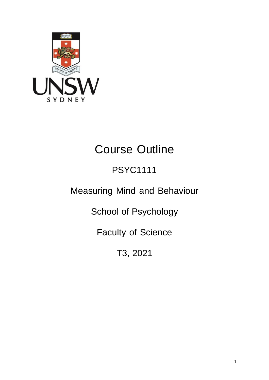

# Course Outline

# PSYC1111

# Measuring Mind and Behaviour

School of Psychology

Faculty of Science

T3, 2021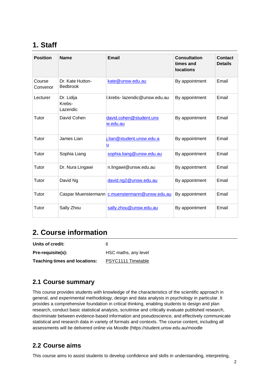# **1. Staff**

| <b>Position</b>    | <b>Name</b>                         | <b>Email</b>                               | <b>Consultation</b><br>times and<br><b>locations</b> | Contact<br><b>Details</b> |
|--------------------|-------------------------------------|--------------------------------------------|------------------------------------------------------|---------------------------|
| Course<br>Convenor | Dr. Kate Hutton-<br><b>Bedbrook</b> | kate@unsw.edu.au                           | By appointment                                       | Email                     |
| Lecturer           | Dr. Lidija<br>Krebs-<br>Lazendic    | I.krebs- lazendic@unsw.edu.au              | By appointment                                       | Email                     |
| Tutor              | David Cohen                         | david.cohen@student.uns<br><u>w.edu.au</u> | By appointment                                       | Email                     |
| Tutor              | James Lian                          | j.lian@student.unsw.edu.a<br>u             | By appointment                                       | Email                     |
| Tutor              | Sophia Liang                        | sophia.liang@unsw.edu.au                   | By appointment                                       | Email                     |
| Tutor              | Dr. Nura Lingawi                    | n.lingawi@unsw.edu.au                      | By appointment                                       | Email                     |
| Tutor              | David Ng                            | david.ng2@unsw.edu.au                      | By appointment                                       | Email                     |
| Tutor              | Caspar Muenstermann                 | c.muenstermann@unsw.edu.au                 | By appointment                                       | Email                     |
| Tutor              | Sally Zhou                          | sally.zhou@unsw.edu.au                     | By appointment                                       | Email                     |

# **2. Course information**

| Units of credit:              | 6                    |
|-------------------------------|----------------------|
| Pre-requisite(s):             | HSC maths, any level |
| Teaching times and locations: | PSYC1111 Timetable   |

### **2.1 Course summary**

This course provides students with knowledge of the characteristics of the scientific approach in general, and experimental methodology, design and data analysis in psychology in particular. It provides a comprehensive foundation in critical thinking, enabling students to design and plan research, conduct basic statistical analysis, scrutinise and critically evaluate published research, discriminate between evidence-based information and pseudoscience, and effectively communicate statistical and research data in variety of formats and contexts. The course content, including all assessments will be delivered online via Moodle (https://student.unsw.edu.au/moodle

#### **2.2 Course aims**

This course aims to assist students to develop confidence and skills in understanding, interpreting,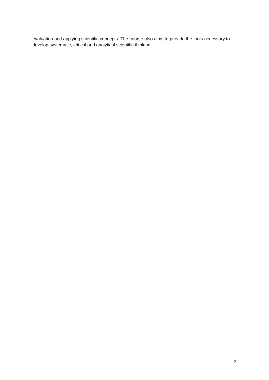evaluation and applying scientific concepts. The course also aims to provide the tools necessary to develop systematic, critical and analytical scientific thinking.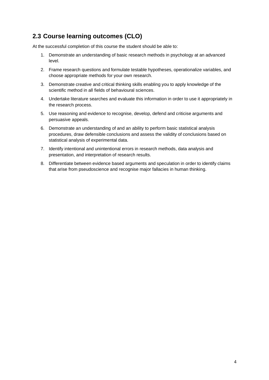## **2.3 Course learning outcomes (CLO)**

At the successful completion of this course the student should be able to:

- 1. Demonstrate an understanding of basic research methods in psychology at an advanced level.
- 2. Frame research questions and formulate testable hypotheses, operationalize variables, and choose appropriate methods for your own research.
- 3. Demonstrate creative and critical thinking skills enabling you to apply knowledge of the scientific method in all fields of behavioural sciences.
- 4. Undertake literature searches and evaluate this information in order to use it appropriately in the research process.
- 5. Use reasoning and evidence to recognise, develop, defend and criticise arguments and persuasive appeals.
- 6. Demonstrate an understanding of and an ability to perform basic statistical analysis procedures, draw defensible conclusions and assess the validity of conclusions based on statistical analysis of experimental data.
- 7. Identify intentional and unintentional errors in research methods, data analysis and presentation, and interpretation of research results.
- 8. Differentiate between evidence based arguments and speculation in order to identify claims that arise from pseudoscience and recognise major fallacies in human thinking.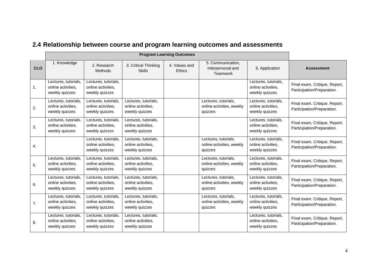|            | <b>Program Learning Outcomes</b>                             |                                                              |                                                              |                         |                                                              |                                                              |                                                             |
|------------|--------------------------------------------------------------|--------------------------------------------------------------|--------------------------------------------------------------|-------------------------|--------------------------------------------------------------|--------------------------------------------------------------|-------------------------------------------------------------|
| <b>CLO</b> | 1. Knowledge                                                 | 2. Research<br>Methods                                       | 3. Critical Thinking<br><b>Skills</b>                        | 4. Values and<br>Ethics | 5. Communication.<br>Interpersonal and<br>Teamwork           | 6. Application                                               | <b>Assessment</b>                                           |
| 1.         | Lectures, tutorials,<br>online activities.<br>weekly quizzes | Lectures, tutorials,<br>online activities.<br>weekly quizzes |                                                              |                         |                                                              | Lectures, tutorials,<br>online activities.<br>weekly quizzes | Final exam, Critique, Report,<br>Participation/Preparation. |
| 2.         | Lectures, tutorials,<br>online activities,<br>weekly quizzes | Lectures, tutorials,<br>online activities,<br>weekly quizzes | Lectures, tutorials,<br>online activities,<br>weekly quizzes |                         | Lectures, tutorials,<br>online activities, weekly<br>quizzes | Lectures, tutorials,<br>online activities,<br>weekly quizzes | Final exam, Critique, Report,<br>Participation/Preparation. |
| 3.         | Lectures, tutorials,<br>online activities,<br>weekly quizzes | Lectures, tutorials,<br>online activities,<br>weekly quizzes | Lectures, tutorials,<br>online activities,<br>weekly quizzes |                         |                                                              | Lectures, tutorials,<br>online activities,<br>weekly quizzes | Final exam, Critique, Report,<br>Participation/Preparation. |
| 4.         |                                                              | Lectures, tutorials,<br>online activities,<br>weekly quizzes | Lectures, tutorials,<br>online activities.<br>weekly quizzes |                         | Lectures, tutorials,<br>online activities, weekly<br>quizzes | Lectures, tutorials,<br>online activities,<br>weekly quizzes | Final exam, Critique, Report,<br>Participation/Preparation. |
| 5.         | Lectures, tutorials,<br>online activities,<br>weekly quizzes | Lectures, tutorials,<br>online activities,<br>weekly quizzes | Lectures, tutorials,<br>online activities,<br>weekly quizzes |                         | Lectures, tutorials,<br>online activities, weekly<br>quizzes | Lectures, tutorials,<br>online activities,<br>weekly quizzes | Final exam, Critique, Report,<br>Participation/Preparation. |
| 6.         | Lectures, tutorials,<br>online activities,<br>weekly quizzes | Lectures, tutorials,<br>online activities,<br>weekly quizzes | Lectures, tutorials,<br>online activities,<br>weekly quizzes |                         | Lectures, tutorials,<br>online activities, weekly<br>quizzes | Lectures, tutorials,<br>online activities,<br>weekly quizzes | Final exam, Critique, Report,<br>Participation/Preparation. |
| 7.         | Lectures, tutorials,<br>online activities.<br>weekly quizzes | Lectures, tutorials,<br>online activities.<br>weekly quizzes | Lectures, tutorials,<br>online activities.<br>weekly quizzes |                         | Lectures, tutorials,<br>online activities, weekly<br>quizzes | Lectures, tutorials,<br>online activities,<br>weekly quizzes | Final exam, Critique, Report,<br>Participation/Preparation. |
| 8.         | Lectures, tutorials,<br>online activities,<br>weekly quizzes | Lectures, tutorials,<br>online activities,<br>weekly quizzes | Lectures, tutorials,<br>online activities,<br>weekly quizzes |                         |                                                              | Lectures, tutorials,<br>online activities,<br>weekly quizzes | Final exam, Critique, Report,<br>Participation/Preparation. |

# **2.4 Relationship between course and program learning outcomes and assessments**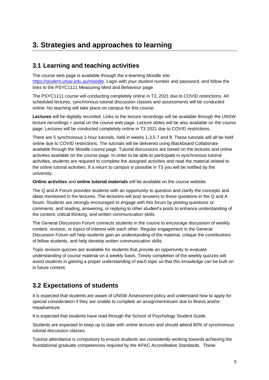# **3. Strategies and approaches to learning**

#### **3.1 Learning and teaching activities**

The course web page is available through the e-learning Moodle site: [https://student.unsw.edu.au/moodle. L](https://student.unsw.edu.au/moodle)ogin with your student number and password, and follow the links to the PSYC1111 Measuring Mind and Behaviour page.

The PSYC1111 course will conducting completely online in T3, 2021 due to COVID restrictions. All scheduled lectures, synchronous tutorial discussion classes and assessments will be conducted online. No teaching will take place on campus for this course.

**Lectures** will be digitally recorded. Links to the lecture recordings will be available through the UNSW lecture recordings + portal on the course web page. Lecture slides will be also available on the course page. Lectures will be conducted completely online in T3 2021 due to COVID restrictions.

There are 5 synchronous 1-hour tutorials, held in weeks 1,3,5 7 and 9. These tutorials will all be held online due to COVID restrictions. The tutorials will be delivered using Blackboard Collaborate available through the Moodle course page. Tutorial discussions are based on the lectures and online activities available on the course page. In order to be able to participate in synchronous tutorial activities, students are required to complete the assigned activities and read the material related to the online tutorial activities. If a return to campus is possible in T3 you will be notified by the university.

**Online activities** and **online tutorial materials** will be available on the course website.

The Q and A Forum provides students with an opportunity to question and clarify the concepts and ideas mentioned in the lectures. The lecturers will post answers to these questions in the Q and A forum. Students are strongly encouraged to engage with this forum by posting questions or comments, and reading, answering, or replying to other student's posts to enhance understanding of the content, critical thinking, and written communication skills.

The General Discussion Forum connects students in the course to encourage discussion of weekly content, revision, or topics of interest with each other. Regular engagement in the General Discussion Forum will help students gain an understanding of the material, critique the contributions of fellow students, and help develop written communication skills.

Topic revision quizzes are available for students that provide an opportunity to evaluate understanding of course material on a weekly basis. Timely completion of the weekly quizzes will assist students in gaining a proper understanding of each topic so that this knowledge can be built on in future content.

## **3.2 Expectations of students**

It is expected that students are aware of UNSW Assessment policy and understand how to apply for special consideration if they are unable to complete an assignment/exam due to illness and/or misadventure.

It is expected that students have read through the School of Psychology Student Guide.

Students are expected to keep up to date with online lectures and should attend 80% of synchronous tutorial discussion classes.

Tutorial attendance is compulsory to ensure students are consistently working towards achieving the foundational graduate competencies required by the APAC Accreditation Standards. These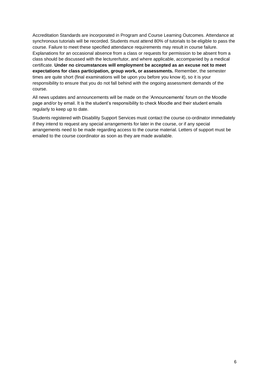Accreditation Standards are incorporated in Program and Course Learning Outcomes. Attendance at synchronous tutorials will be recorded. Students must attend 80% of tutorials to be eligible to pass the course. Failure to meet these specified attendance requirements may result in course failure. Explanations for an occasional absence from a class or requests for permission to be absent from a class should be discussed with the lecturer/tutor, and where applicable, accompanied by a medical certificate. **Under no circumstances will employment be accepted as an excuse not to meet expectations for class participation, group work, or assessments.** Remember, the semester times are quite short (final examinations will be upon you before you know it), so it is your responsibility to ensure that you do not fall behind with the ongoing assessment demands of the course.

All news updates and announcements will be made on the 'Announcements' forum on the Moodle page and/or by email. It is the student's responsibility to check Moodle and their student emails regularly to keep up to date.

Students registered with Disability Support Services must contact the course co-ordinator immediately if they intend to request any special arrangements for later in the course, or if any special arrangements need to be made regarding access to the course material. Letters of support must be emailed to the course coordinator as soon as they are made available.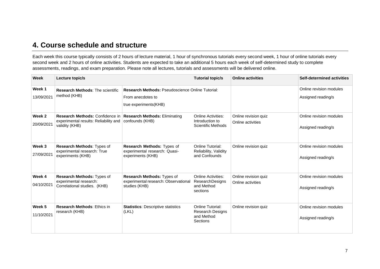## **4. Course schedule and structure**

Each week this course typically consists of 2 hours of lecture material, 1 hour of synchronous tutorials every second week, 1 hour of online tutorials every second week and 2 hours of online activities. Students are expected to take an additional 5 hours each week of self-determined study to complete assessments, readings, and exam preparation. Please note all lectures, tutorials and assessments will be delivered online.

| <b>Week</b>          | Lecture topic/s                                                                            |                                                                                                       | <b>Tutorial topic/s</b>                                                       | <b>Online activities</b>                  | <b>Self-determined activities</b>             |
|----------------------|--------------------------------------------------------------------------------------------|-------------------------------------------------------------------------------------------------------|-------------------------------------------------------------------------------|-------------------------------------------|-----------------------------------------------|
| Week 1<br>13/09/2021 | <b>Research Methods: The scientific</b><br>method (KHB)                                    | <b>Research Methods: Pseudoscience Online Tutorial:</b><br>From anecdotes to<br>true experiments(KHB) |                                                                               |                                           | Online revision modules<br>Assigned reading/s |
| Week 2<br>20/09/2021 | Research Methods: Confidence in<br>experimental results: Reliability and<br>validity (KHB) | <b>Research Methods: Eliminating</b><br>confounds (KHB)                                               | <b>Online Activities:</b><br>Introduction to<br><b>Scientific Methods</b>     | Online revision quiz<br>Online activities | Online revision modules<br>Assigned reading/s |
| Week 3<br>27/09/2021 | Research Methods: Types of<br>experimental research: True<br>experiments (KHB)             | Research Methods: Types of<br>experimental research: Quasi-<br>experiments (KHB)                      | <b>Online Tutorial:</b><br>Reliability, Validity<br>and Confounds             | Online revision quiz                      | Online revision modules<br>Assigned reading/s |
| Week 4<br>04/10/2021 | Research Methods: Types of<br>experimental research:<br>Correlational studies. (KHB)       | Research Methods: Types of<br>experimental research: Observational<br>studies (KHB)                   | <b>Online Activities:</b><br><b>ResearchDesigns</b><br>and Method<br>sections | Online revision quiz<br>Online activities | Online revision modules<br>Assigned reading/s |
| Week 5<br>11/10/2021 | <b>Research Methods: Ethics in</b><br>research (KHB)                                       | <b>Statistics: Descriptive statistics</b><br>(LKL)                                                    | Online Tutorial:<br>Research Designs<br>and Method<br>Sections                | Online revision quiz                      | Online revision modules<br>Assigned reading/s |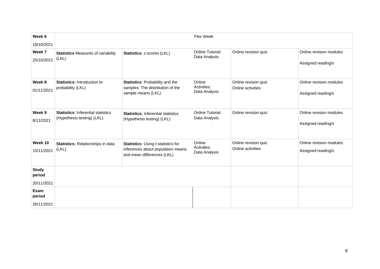| Week 6                 |                                                                         |                                                                                                              | Flex Week                              |                                           |                                               |
|------------------------|-------------------------------------------------------------------------|--------------------------------------------------------------------------------------------------------------|----------------------------------------|-------------------------------------------|-----------------------------------------------|
| 18/10/2021             |                                                                         |                                                                                                              |                                        |                                           |                                               |
| Week 7                 | <b>Statistics Measures of variability</b>                               | Statistics: z-scores (LKL)                                                                                   | Online Tutorial:                       | Online revision quiz                      | Online revision modules                       |
| 25/10/2021             | (LKL)                                                                   |                                                                                                              | Data Analysis                          |                                           | Assigned reading/s                            |
| Week 8<br>01/11/2021   | Statistics: Introduction to<br>probability (LKL)                        | <b>Statistics: Probability and the</b><br>samples: The distribution of the<br>sample means (LKL)             | Online<br>Activities:<br>Data Analysis | Online revision quiz<br>Online activities | Online revision modules<br>Assigned reading/s |
| Week 9<br>8/11/2021    | <b>Statistics: Inferential statistics</b><br>(Hypothesis testing) (LKL) | <b>Statistics: Inferential statistics</b><br>(Hypothesis testing) (LKL)                                      | Online Tutorial:<br>Data Analysis      | Online revision quiz                      | Online revision modules<br>Assigned reading/s |
| Week 10<br>15/11/2021  | Statistics: Relationships in data<br>(LKL)                              | <b>Statistics: Using t-statistics for</b><br>inferences about population means<br>and mean differences (LKL) | Online<br>Activities:<br>Data Analysis | Online revision quiz<br>Online activities | Online revision modules<br>Assigned reading/s |
| <b>Study</b><br>period |                                                                         |                                                                                                              |                                        |                                           |                                               |
| 20/11/2021             |                                                                         |                                                                                                              |                                        |                                           |                                               |
| Exam<br>period         |                                                                         |                                                                                                              |                                        |                                           |                                               |
| 26/11/2021             |                                                                         |                                                                                                              |                                        |                                           |                                               |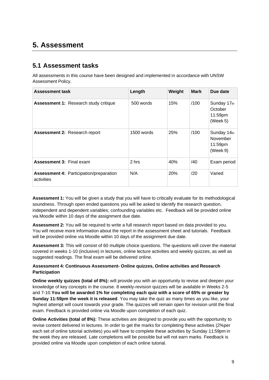# **5. Assessment**

### **5.1 Assessment tasks**

All assessments in this course have been designed and implemented in accordance with UNSW Assessment Policy.

| <b>Assessment task</b>                                       | Length     | Weight     | <b>Mark</b> | Due date                                       |
|--------------------------------------------------------------|------------|------------|-------------|------------------------------------------------|
| <b>Assessment 1: Research study critique</b>                 | 500 words  | 15%        | /100        | Sunday 17th<br>October<br>11:59pm<br>(Week 5)  |
| <b>Assessment 2: Research report</b>                         | 1500 words | 25%        | /100        | Sunday 14th<br>November<br>11:59pm<br>(Week 9) |
| <b>Assessment 3: Final exam</b>                              | 2 hrs      | 40%        | /40         | Exam period                                    |
| <b>Assessment 4: Participation/preparation</b><br>activities | N/A        | <b>20%</b> | /20         | Varied                                         |

**Assessment 1:** You will be given a study that you will have to critically evaluate for its methodological soundness. Through open ended questions you will be asked to identify the research question, independent and dependent variables; confounding variables etc. Feedback will be provided online via Moodle within 10 days of the assignment due date.

**Assessment 2:** You will be required to write a full research report based on data provided to you. You will receive more information about the report in the assessment sheet and tutorials. Feedback will be provided online via Moodle within 10 days of the assignment due date.

**Assessment 3:** This will consist of 60 multiple choice questions. The questions will cover the material covered in weeks 1-10 (inclusive) in lectures, online lecture activities and weekly quizzes, as well as suggested readings. The final exam will be delivered online.

#### **Assessment 4: Continuous Assessment- Online quizzes, Online activities and Research Participation**

**Online weekly quizzes (total of 8%):** will provide you with an opportunity to revise and deepen your knowledge of key concepts in the course. 8 weekly-revision quizzes will be available in Weeks 2-5 and 7-10.**You will be awarded 1% for completing each quiz with a score of 65% or greater by Sunday 11:59pm the week it is released**. You may take the quiz as many times as you like, your highest attempt will count towards your grade. The quizzes will remain open for revision until the final exam. Feedback is provided online via Moodle upon completion of each quiz.

**Online Activities (total of 8%):** These activities are designed to provide you with the opportunity to revise content delivered in lectures. In order to get the marks for completing these activities (2%per each set of online tutorial activities) you will have to complete these activities by Sunday 11:59pm in the week they are released. Late completions will be possible but will not earn marks. Feedback is provided online via Moodle upon completion of each online tutorial.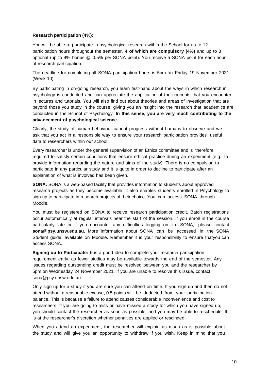#### **Research participation (4%):**

You will be able to participate in psychological research within the School for up to 12 participation hours throughout the semester, **4 of which are compulsory (4%)** and up to 8 optional (up to 4% bonus @ 0.5% per SONA point). You receive a SONA point for each hour of research participation.

The deadline for completing all SONA participation hours is 5pm on Friday 19 November 2021 (Week 10).

By participating in on-going research, you learn first-hand about the ways in which research in psychology is conducted and can appreciate the application of the concepts that you encounter in lectures and tutorials. You will also find out about theories and areas of investigation that are beyond those you study in the course, giving you an insight into the research that academics are conducted in the School of Psychology. **In this sense, you are very much contributing to the advancement of psychological science.**

Clearly, the study of human behaviour cannot progress without humans to observe and we ask that you act in a responsible way to ensure your research participation provides useful data to researchers within our school.

Every researcher is under the general supervision of an Ethics committee and is therefore required to satisfy certain conditions that ensure ethical practice during an experiment (e.g., to provide information regarding the nature and aims of the study). There is no compulsion to participate in any particular study and it is quite in order to decline to participate after an explanation of what is involved has been given.

**SONA:** SONA is a web-based facility that provides information to students about approved research projects as they become available. It also enables students enrolled in Psychology to sign-up to participate in research projects of their choice. You can access SONA through Moodle.

You must be registered on SONA to receive research participation credit. Batch registrations occur automatically at regular intervals near the start of the session. If you enroll in the course particularly late or if you encounter any difficulties logging on to SONA, please contact **[sona@psy.unsw.edu.au.](mailto:sona@psy.unsw.edu.au)** More information about SONA can be accessed in the SONA Student guide, available on Moodle. Remember it is your responsibility to ensure thatyou can access SONA.

**Signing up to Participate:** It is a good idea to complete your research participation requirement early, as fewer studies may be available towards the end of the semester. Any issues regarding outstanding credit must be resolved between you and the researcher by 5pm on Wednesday 24 November 2021. If you are unable to resolve this issue, contact [sona@psy.unsw.edu.au.](mailto:sona@psy.unsw.edu.au)

Only sign up for a study if you are sure you can attend on time. If you sign up and then do not attend without a reasonable excuse, 0.5 points will be deducted from your participation balance. This is because a failure to attend causes considerable inconvenience and cost to researchers. If you are going to miss or have missed a study for which you have signed up, you should contact the researcher as soon as possible, and you may be able to reschedule. It is at the researcher's discretion whether penalties are applied or rescinded.

When you attend an experiment, the researcher will explain as much as is possible about the study and will give you an opportunity to withdraw if you wish. Keep in mind that you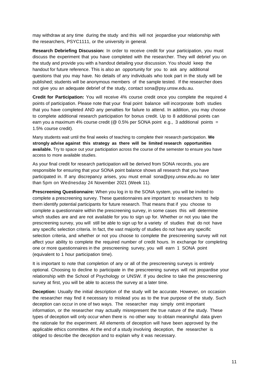may withdraw at any time during the study and this will not jeopardise your relationship with the researchers, PSYC1111, or the university in general.

**Research Debriefing Discussion:** In order to receive credit for your participation, you must discuss the experiment that you have completed with the researcher. They will debrief you on the study and provide you with a handout detailing your discussion. You should keep the handout for future reference. This is also an opportunity for you to ask any additional questions that you may have. No details of any individuals who took part in the study will be published; students will be anonymous members of the sample tested. If the researcher does not give you an adequate debrief of the study, contact [sona@psy.unsw.edu.au.](mailto:sona@psy.unsw.edu.au)

**Credit for Participation:** You will receive 4% course credit once you complete the required 4 points of participation. Please note that your final point balance will incorporate both studies that you have completed AND any penalties for failure to attend. In addition, you may choose to complete additional research participation for bonus credit. Up to 8 additional points can earn you a maximum 4% course credit ( $@$  0.5% per SONA point e.g., 3 additional points = 1.5% course credit).

Many students wait until the final weeks of teaching to complete their research participation. **We strongly advise against this strategy as there will be limited research opportunities available.** Try to space out your participation across the course of the semester to ensure you have access to more available studies.

As your final credit for research participation will be derived from SONA records, you are responsible for ensuring that your SONA point balance shows all research that you have participated in. If any discrepancy arises, you must email [sona@psy.unsw.edu.au](mailto:sona@psy.unsw.edu.au) no later than 5pm on Wednesday 24 November 2021 (Week 11).

**Prescreening Questionnaire:** When you log in to the SONA system, you will be invited to complete a prescreening survey. These questionnaires are important to researchers to help them identify potential participants for future research. That means that if you choose to complete a questionnaire within the prescreening survey, in some cases this will determine which studies are and are not available for you to sign up for. Whether or not you take the prescreening survey, you will still be able to sign up for a variety of studies that do not have any specific selection criteria. In fact, the vast majority of studies do not have any specific selection criteria, and whether or not you choose to complete the prescreening survey will not affect your ability to complete the required number of credit hours. In exchange for completing one or more questionnaires in the prescreening survey, you will earn 1 SONA point (equivalent to 1 hour participation time).

It is important to note that completion of any or all of the prescreening surveys is entirely optional. Choosing to decline to participate in the prescreening surveys will not jeopardise your relationship with the School of Psychology or UNSW. If you decline to take the prescreening survey at first, you will be able to access the survey at a later time.

**Deception:** Usually the initial description of the study will be accurate. However, on occasion the researcher may find it necessary to mislead you as to the true purpose of the study. Such deception can occur in one of two ways. The researcher may simply omit important information, or the researcher may actually misrepresent the true nature of the study. These types of deception will only occur when there is no other way to obtain meaningful data given the rationale for the experiment. All elements of deception will have been approved by the applicable ethics committee. At the end of a study involving deception, the researcher is obliged to describe the deception and to explain why it was necessary.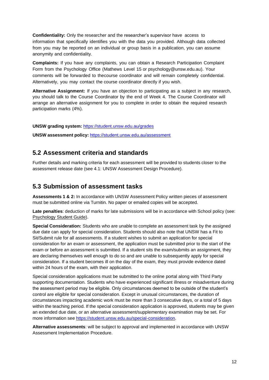**Confidentiality:** Only the researcher and the researcher's supervisor have access to information that specifically identifies you with the data you provided. Although data collected from you may be reported on an individual or group basis in a publication, you can assume anonymity and confidentiality.

**Complaints:** If you have any complaints, you can obtain a Research Participation Complaint Form from the Psychology Office (Mathews Level 15 or psychology@unsw.edu.au). Your comments will be forwarded to thecourse coordinator and will remain completely confidential. Alternatively, you may contact the course coordinator directly if you wish.

**Alternative Assignment:** If you have an objection to participating as a subject in any research, you should talk to the Course Coordinator by the end of Week 4. The Course Coordinator will arrange an alternative assignment for you to complete in order to obtain the required research participation marks (4%).

**UNSW grading system:** <https://student.unsw.edu.au/grades>

**UNSW assessment policy:** <https://student.unsw.edu.au/assessment>

#### **5.2 Assessment criteria and standards**

Further details and marking criteria for each assessment will be provided to students closer to the assessment release date (see 4.1: UNSW Assessment Design Procedure).

#### **5.3 Submission of assessment tasks**

**Assessments 1 & 2:** In accordance with UNSW Assessment Policy written pieces of assessment must be submitted online via Turnitin. No paper or emailed copies will be accepted.

**Late penalties**: deduction of marks for late submissions will be in accordance with School policy (see: [Psychology](https://moodle.telt.unsw.edu.au/mod/resource/view.php?id=1630526) Student Guide).

**Special Consideration:** Students who are unable to complete an assessment task by the assigned due date can apply for special consideration. Students should also note that UNSW has a Fit to Sit/Submit rule for all assessments. If a student wishes to submit an application for special consideration for an exam or assessment, the application must be submitted prior to the start of the exam or before an assessment is submitted. If a student sits the exam/submits an assignment, they are declaring themselves well enough to do so and are unable to subsequently apply for special consideration. If a student becomes ill on the day of the exam, they must provide evidence dated within 24 hours of the exam, with their application.

Special consideration applications must be submitted to the online portal along with Third Party supporting documentation. Students who have experienced significant illness or misadventure during the assessment period may be eligible. Only circumstances deemed to be outside of the student's control are eligible for special consideration. Except in unusual circumstances, the duration of circumstances impacting academic work must be more than 3 consecutive days, or a total of 5 days within the teaching period. If the special consideration application is approved, students may be given an extended due date, or an alternative assessment/supplementary examination may be set. For more information see [https://student.unsw.edu.au/special-consideration.](https://student.unsw.edu.au/special-consideration)

**Alternative assessments**: will be subject to approval and implemented in accordance with UNSW Assessment Implementation Procedure.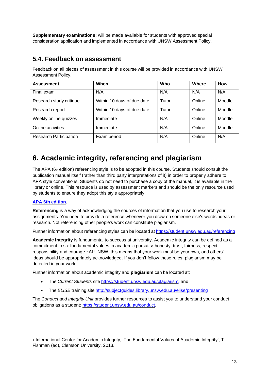**Supplementary examinations:** will be made available for students with approved special consideration application and implemented in accordance with UNSW Assessment Policy.

### **5.4. Feedback on assessment**

Feedback on all pieces of assessment in this course will be provided in accordance with UNSW Assessment Policy.

| <b>Assessment</b>             | When                       | Who   | Where  | <b>How</b> |
|-------------------------------|----------------------------|-------|--------|------------|
| Final exam                    | N/A                        | N/A   | N/A    | N/A        |
| Research study critique       | Within 10 days of due date | Tutor | Online | Moodle     |
| Research report               | Within 10 days of due date | Tutor | Online | Moodle     |
| Weekly online quizzes         | Immediate                  | N/A   | Online | Moodle     |
| Online activities             | Immediate                  | N/A   | Online | Moodle     |
| <b>Research Participation</b> | Exam period                | N/A   | Online | N/A        |

# **6. Academic integrity, referencing and plagiarism**

The APA (6th edition) referencing style is to be adopted in this course. Students should consult the publication manual itself (rather than third party interpretations of it) in order to properly adhere to APA style conventions. Students do not need to purchase a copy of the manual, it is available in the library or online. This resource is used by assessment markers and should be the only resource used by students to ensure they adopt this style appropriately:

#### **APA 6th [edition.](http://www.apastyle.org/manual/index.aspx)**

**Referencing** is a way of acknowledging the sources of information that you use to research your assignments. You need to provide a reference whenever you draw on someone else's words, ideas or research. Not referencing other people's work can constitute plagiarism.

Further information about referencing styles can be located at <https://student.unsw.edu.au/referencing>

**Academic integrity** is fundamental to success at university. Academic integrity can be defined as a commitment to six fundamental values in academic pursuits**:** honesty, trust, fairness, respect, responsibility and courage.*1* At UNSW, this means that your work must be your own, and others' ideas should be appropriately acknowledged. If you don't follow these rules, plagiarism may be detected in your work.

Further information about academic integrity and **plagiarism** can be located at:

- The *Current Students* site <https://student.unsw.edu.au/plagiarism>*,* and
- The *ELISE* training site <http://subjectguides.library.unsw.edu.au/elise/presenting>

The *Conduct and Integrity Unit* provides further resources to assist you to understand your conduct obligations as a student: [https://student.unsw.edu.au/conduct.](https://student.unsw.edu.au/conduct)

1 International Center for Academic Integrity, 'The Fundamental Values of Academic Integrity', T. Fishman (ed), Clemson University, 2013.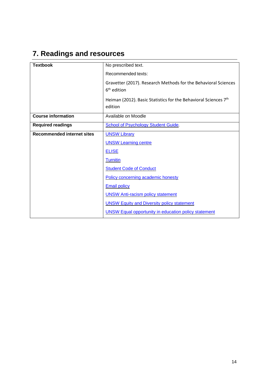# **7. Readings and resources**

| <b>Textbook</b>                   | No prescribed text.                                                                       |
|-----------------------------------|-------------------------------------------------------------------------------------------|
|                                   | Recommended texts:                                                                        |
|                                   | Gravetter (2017). Research Methods for the Behavioral Sciences<br>6 <sup>th</sup> edition |
|                                   | Heiman (2012). Basic Statistics for the Behavioral Sciences 7th<br>edition                |
| <b>Course information</b>         | Available on Moodle                                                                       |
| <b>Required readings</b>          | <b>School of Psychology Student Guide.</b>                                                |
| <b>Recommended internet sites</b> | <b>UNSW Library</b>                                                                       |
|                                   | <b>UNSW Learning centre</b>                                                               |
|                                   | <b>ELISE</b>                                                                              |
|                                   | <b>Turnitin</b>                                                                           |
|                                   | <b>Student Code of Conduct</b>                                                            |
|                                   | Policy concerning academic honesty                                                        |
|                                   | <b>Email policy</b>                                                                       |
|                                   | <b>UNSW Anti-racism policy statement</b>                                                  |
|                                   | <b>UNSW Equity and Diversity policy statement</b>                                         |
|                                   | <b>UNSW Equal opportunity in education policy statement</b>                               |